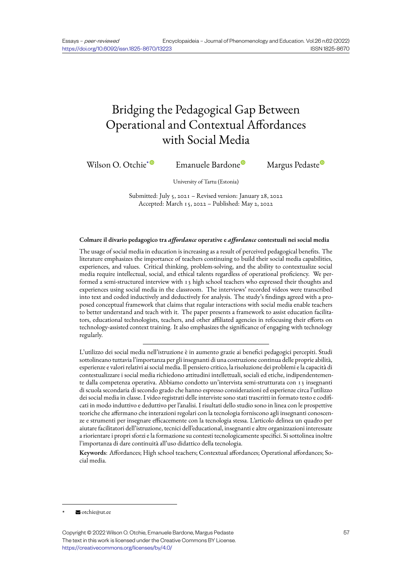# Bridging the Pedagogical Gap Between Operational and Contextual Affordances with Social Media

Wilson O. Otchie<sup>\* The</sup> Emanuele Bardone<sup>®</sup> Margus Pedaste<sup>®</sup>

University of Tartu (Estonia)

Submitt[ed](https://orcid.org/0000-0002-2025-3270): July 5, 2021 – Revised version: [Jan](https://orcid.org/0000-0001-9038-2580)uary 28, 2022 Accepted: March 15, 2022 – Published: May 2, 2022

#### **Colmare il divario pedagogico tra** *affordance* **operative e** *affordance* **contestuali nei social media**

The usage of social media in education is increasing as a result of perceived pedagogical benefits. The literature emphasizes the importance of teachers continuing to build their social media capabilities, experiences, and values. Critical thinking, problem-solving, and the ability to contextualize social media require intellectual, social, and ethical talents regardless of operational proficiency. We performed a semi-structured interview with 13 high school teachers who expressed their thoughts and experiences using social media in the classroom. The interviews' recorded videos were transcribed into text and coded inductively and deductively for analysis. The study's findings agreed with a proposed conceptual framework that claims that regular interactions with social media enable teachers to better understand and teach with it. The paper presents a framework to assist education facilitators, educational technologists, teachers, and other affiliated agencies in refocusing their efforts on technology-assisted context training. It also emphasizes the significance of engaging with technology regularly.

L'utilizzo dei social media nell'istruzione è in aumento grazie ai benefici pedagogici percepiti. Studi sottolineano tuttavia l'importanza per gli insegnanti di una costruzione continua delle proprie abilità, esperienze e valori relativi ai social media. Il pensiero critico, la risoluzione dei problemi e la capacità di contestualizzare i social media richiedono attitudini intellettuali, sociali ed etiche, indipendentemente dalla competenza operativa. Abbiamo condotto un'intervista semi-strutturata con 13 insegnanti di scuola secondaria di secondo grado che hanno espresso considerazioni ed esperienze circa l'utilizzo dei social media in classe. I video registrati delle interviste sono stati trascritti in formato testo e codificati in modo induttivo e deduttivo per l'analisi. I risultati dello studio sono in linea con le prospettive teoriche che affermano che interazioni regolari con la tecnologia forniscono agli insegnanti conoscenze e strumenti per insegnare efficacemente con la tecnologia stessa. L'articolo delinea un quadro per aiutare facilitatori dell'istruzione, tecnici dell'educational, insegnanti e altre organizzazioni interessate a riorientare i propri sforzi e la formazione su contesti tecnologicamente specifici. Si sottolinea inoltre l'importanza di dare continuità all'uso didattico della tecnologia.

**Keywords**: Affordances; High school teachers; Contextual affordances; Operational affordances; Social media.

 $\blacktriangleright$  otchie@ut.ee

Copyright © 2022 Wilson O. Otchie, Emanuele Bardone, Margus Pedaste The text in this work is licensed under the Creative Commons BY License. https://creativecommons.org/licenses/by/4.0/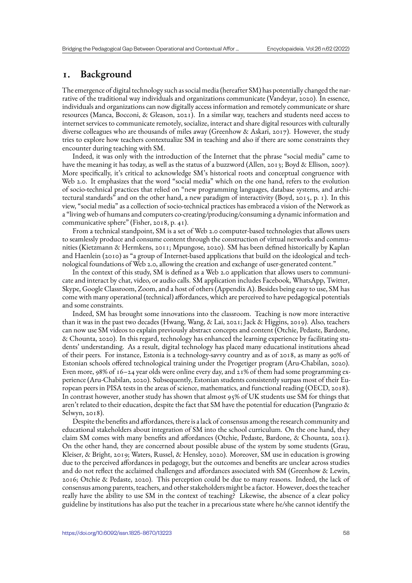# **1. Background**

The emergence of digital technology such as social media (hereafter SM) has potentially changed the narrative of the traditional way individuals and organizations communicate (Vandeyar, 2020). In essence, individuals and organizations can now digitally access information and remotely communicate or share resources (Manca, Bocconi, & Gleason, 2021). In a similar way, teachers and students need access to internet services to communicate remotely, socialize, interact and share digital resources with culturally diverse colleagues who are thousands of miles away (Greenhow & Askari, 2017). However, the study tries to explore how teachers contextualize SM in teaching and also if there are some constraints they encounter during teaching with SM.

Indeed, it was only with the introduction of the Internet that the phrase "social media" came to have the meaning it has today, as well as the status of a buzzword (Allen, 2013; Boyd & Ellison, 2007). More specifically, it's critical to acknowledge SM's historical roots and conceptual congruence with Web 2.0. It emphasizes that the word "social media" which on the one hand, refers to the evolution of socio-technical practices that relied on "new programming languages, database systems, and architectural standards" and on the other hand, a new paradigm of interactivity (Boyd, 2015, p. 1). In this view, "social media" as a collection of socio-technical practices has embraced a vision of the Network as a "living web of humans and computers co-creating/producing/consuming a dynamic information and communicative sphere" (Fisher, 2018, p. 41).

From a technical standpoint, SM is a set of Web 2.0 computer-based technologies that allows users to seamlessly produce and consume content through the construction of virtual networks and communities (Kietzmann & Hermkens, 2011; Mpungose, 2020). SM has been defined historically by Kaplan and Haenlein (2010) as "a group of Internet-based applications that build on the ideological and technological foundations of Web 2.0, allowing the creation and exchange of user-generated content."

In the context of this study, SM is defined as a Web 2.0 application that allows users to communicate and interact by chat, video, or audio calls. SM application includes Facebook, WhatsApp, Twitter, Skype, Google Classroom, Zoom, and a host of others (Appendix A). Besides being easy to use, SM has come with many operational (technical) affordances, which are perceived to have pedagogical potentials and some constraints.

Indeed, SM has brought some innovations into the classroom. Teaching is now more interactive than it was in the past two decades (Hwang, Wang, & Lai, 2021; Jack & Higgins, 2019). Also, teachers can now use SM videos to explain previously abstract concepts and content (Otchie, Pedaste, Bardone, & Chounta, 2020). In this regard, technology has enhanced the learning experience by facilitating students' understanding. As a result, digital technology has placed many educational institutions ahead of their peers. For instance, Estonia is a technology-savvy country and as of 2018, as many as 90% of Estonian schools offered technological training under the Progetiger program (Aru-Chabilan, 2020). Even more,  $98\%$  of 16–24 year olds were online every day, and 21% of them had some programming experience (Aru-Chabilan, 2020). Subsequently, Estonian students consistently surpass most of their European peers in PISA tests in the areas of science, mathematics, and functional reading (OECD, 2018). In contrast however, another study has shown that almost 95% of UK students use SM for things that aren't related to their education, despite the fact that SM have the potential for education (Pangrazio & Selwyn, 2018).

Despite the benefits and affordances, there is a lack of consensus among the research community and educational stakeholders about integration of SM into the school curriculum. On the one hand, they claim SM comes with many benefits and affordances (Otchie, Pedaste, Bardone, & Chounta, 2021). On the other hand, they are concerned about possible abuse of the system by some students (Grau, Kleiser, & Bright, 2019; Waters, Russel, & Hensley, 2020). Moreover, SM use in education is growing due to the perceived affordances in pedagogy, but the outcomes and benefits are unclear across studies and do not reflect the acclaimed challenges and affordances associated with SM (Greenhow & Lewin, 2016; Otchie & Pedaste, 2020). This perception could be due to many reasons. Indeed, the lack of consensus among parents, teachers, and other stakeholders might be a factor. However, does the teacher really have the ability to use SM in the context of teaching? Likewise, the absence of a clear policy guideline by institutions has also put the teacher in a precarious state where he/she cannot identify the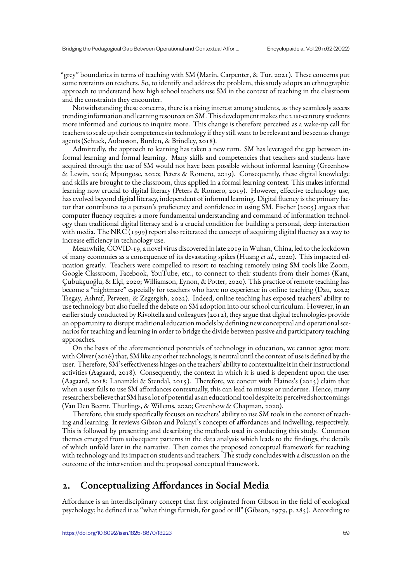"grey" boundaries in terms of teaching with SM (Marín, Carpenter, & Tur, 2021). These concerns put some restraints on teachers. So, to identify and address the problem, this study adopts an ethnographic approach to understand how high school teachers use SM in the context of teaching in the classroom and the constraints they encounter.

Notwithstanding these concerns, there is a rising interest among students, as they seamlessly access trending information and learning resources on SM. This development makes the 21st-century students more informed and curious to inquire more. This change is therefore perceived as a wake-up call for teachers to scale up their competences in technology if they still want to be relevant and be seen as change agents (Schuck, Aubusson, Burden, & Brindley, 2018).

Admittedly, the approach to learning has taken a new turn. SM has leveraged the gap between informal learning and formal learning. Many skills and competencies that teachers and students have acquired through the use of SM would not have been possible without informal learning (Greenhow & Lewin, 2016; Mpungose, 2020; Peters & Romero, 2019). Consequently, these digital knowledge and skills are brought to the classroom, thus applied in a formal learning context. This makes informal learning now crucial to digital literacy (Peters & Romero, 2019). However, effective technology use, has evolved beyond digital literacy, independent of informal learning. Digital fluency is the primary factor that contributes to a person's proficiency and confidence in using SM. Fischer (2005) argues that computer fluency requires a more fundamental understanding and command of information technology than traditional digital literacy and is a crucial condition for building a personal, deep interaction with media. The NRC (1999) report also reiterated the concept of acquiring digital fluency as a way to increase efficiency in technology use.

Meanwhile, COVID-19, a novel virus discovered in late 2019 in Wuhan, China, led to the lockdown of many economies as a consequence of its devastating spikes (Huang *et al.*, 2020). This impacted education greatly. Teachers were compelled to resort to teaching remotely using SM tools like Zoom, Google Classroom, Facebook, YouTube, etc., to connect to their students from their homes (Kara, Çubukçuoğlu, & Elçi, 2020; Williamson, Eynon, & Potter, 2020). This practice of remote teaching has become a "nightmare" especially for teachers who have no experience in online teaching (Dau, 2022; Tsegay, Ashraf, Perveen, & Zegergish, 2022). Indeed, online teaching has exposed teachers' ability to use technology but also fuelled the debate on SM adoption into our school curriculum. However, in an earlier study conducted by Rivoltella and colleagues (2012), they argue that digital technologies provide an opportunity to disrupt traditional education models by defining new conceptual and operational scenarios for teaching and learning in order to bridge the divide between passive and participatory teaching approaches.

On the basis of the aforementioned potentials of technology in education, we cannot agree more with Oliver (2016) that, SM like any other technology, is neutral until the context of use is defined by the user. Therefore, SM's effectiveness hinges on the teachers' ability to contextualize it in their instructional activities (Aagaard, 2018). Consequently, the context in which it is used is dependent upon the user (Aagaard, 2018; Lanamäki & Stendal, 2015). Therefore, we concur with Haines's (2015) claim that when a user fails to use SM affordances contextually, this can lead to misuse or underuse. Hence, many researchers believe that SM has a lot of potential as an educational tool despite its perceived shortcomings (Van Den Beemt, Thurlings, & Willems, 2020; Greenhow & Chapman, 2020).

Therefore, this study specifically focuses on teachers' ability to use SM tools in the context of teaching and learning. It reviews Gibson and Polanyi's concepts of affordances and indwelling, respectively. This is followed by presenting and describing the methods used in conducting this study. Common themes emerged from subsequent patterns in the data analysis which leads to the findings, the details of which unfold later in the narrative. Then comes the proposed conceptual framework for teaching with technology and its impact on students and teachers. The study concludes with a discussion on the outcome of the intervention and the proposed conceptual framework.

# **2. Conceptualizing Affordances in Social Media**

Affordance is an interdisciplinary concept that first originated from Gibson in the field of ecological psychology; he defined it as "what things furnish, for good or ill" (Gibson, 1979, p. 285). According to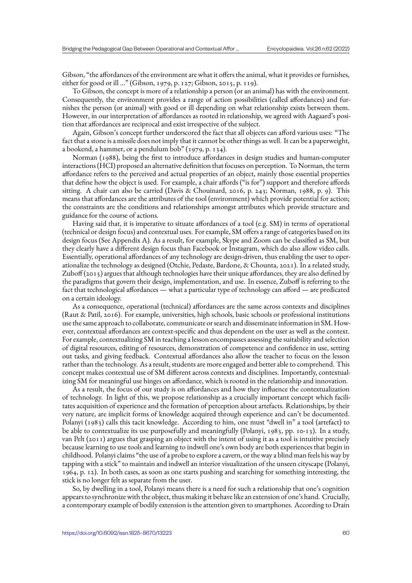Gibson, "the affordances of the environment are what it offers the animal, what it provides or furnishes, either for good or ill …" (Gibson, 1979, p. 127; Gibson, 2015, p. 119).

To Gibson, the concept is more of a relationship a person (or an animal) has with the environment. Consequently, the environment provides a range of action possibilities (called affordances) and furnishes the person (or animal) with good or ill depending on what relationship exists between them. However, in our interpretation of affordances as rooted in relationship, we agreed with Aagaard's position that affordances are reciprocal and exist irrespective of the subject.

Again, Gibson's concept further underscored the fact that all objects can afford various uses: "The fact that a stone is a missile does not imply that it cannot be other things as well. It can be a paperweight, a bookend, a hammer, or a pendulum bob" (1979, p. 134).

Norman (1988), being the first to introduce affordances in design studies and human-computer interactions (HCI) proposed an alternative definition that focuses on perception. To Norman, the term affordance refers to the perceived and actual properties of an object, mainly those essential properties that define how the object is used. For example, a chair affords ("is for") support and therefore affords sitting. A chair can also be carried (Davis & Chouinard, 2016, p. 243; Norman, 1988, p. 9). This means that affordances are the attributes of the tool (environment) which provide potential for action; the constraints are the conditions and relationships amongst attributes which provide structure and guidance for the course of actions.

Having said that, it is imperative to situate affordances of a tool (e.g. SM) in terms of operational (technical or design focus) and contextual uses. For example, SM offers a range of categories based on its design focus (See Appendix A). As a result, for example, Skype and Zoom can be classified as SM, but they clearly have a different design focus than Facebook or Instagram, which do also allow video calls. Essentially, operational affordances of any technology are design-driven, thus enabling the user to operationalize the technology as designed (Otchie, Pedaste, Bardone, & Chounta, 2021). In a related study, Zuboff (2015) argues that although technologies have their unique affordances, they are also defined by the paradigms that govern their design, implementation, and use. In essence, Zuboff is referring to the fact that technological affordances — what a particular type of technology can afford — are predicated on a certain ideology.

As a consequence, operational (technical) affordances are the same across contexts and disciplines (Raut & Patil, 2016). For example, universities, high schools, basic schools or professional institutions use the same approach to collaborate, communicate or search and disseminate information in SM. However, contextual affordances are context-specific and thus dependent on the user as well as the context. For example, contextualizing SM in teaching a lesson encompasses assessing the suitability and selection of digital resources, editing of resources, demonstration of competence and confidence in use, setting out tasks, and giving feedback. Contextual affordances also allow the teacher to focus on the lesson rather than the technology. As a result, students are more engaged and better able to comprehend. This concept makes contextual use of SM different across contexts and disciplines. Importantly, contextualizing SM for meaningful use hinges on affordance, which is rooted in the relationship and innovation.

As a result, the focus of our study is on affordances and how they influence the contextualization of technology. In light of this, we propose relationship as a crucially important concept which facilitates acquisition of experience and the formation of perception about artefacts. Relationships, by their very nature, are implicit forms of knowledge acquired through experience and can't be documented. Polanyi (1983) calls this tacit knowledge. According to him, one must "dwell in" a tool (artefact) to be able to contextualize its use purposefully and meaningfully (Polanyi, 1983, pp. 10-13). In a study, van Pelt (2011) argues that grasping an object with the intent of using it as a tool is intuitive precisely because learning to use tools and learning to indwell one's own body are both experiences that begin in childhood. Polanyi claims "the use of a probe to explore a cavern, or the way a blind man feels his way by tapping with a stick" to maintain and indwell an interior visualization of the unseen cityscape (Polanyi, 1964, p. 12). In both cases, as soon as one starts pushing and searching for something interesting, the stick is no longer felt as separate from the user.

So, by dwelling in a tool, Polanyi means there is a need for such a relationship that one's cognition appears to synchronize with the object, thus making it behave like an extension of one's hand. Crucially, a contemporary example of bodily extension is the attention given to smartphones. According to Drain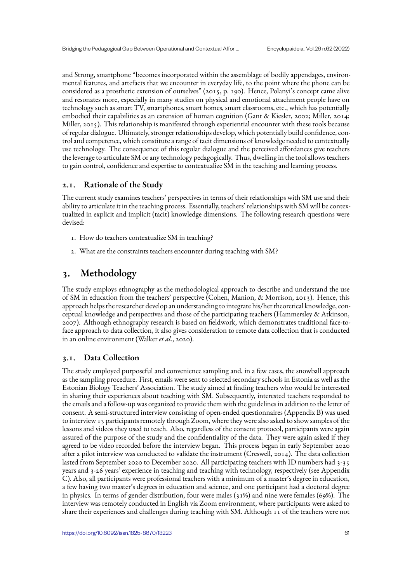and Strong, smartphone "becomes incorporated within the assemblage of bodily appendages, environmental features, and artefacts that we encounter in everyday life, to the point where the phone can be considered as a prosthetic extension of ourselves" (2015, p. 190). Hence, Polanyi's concept came alive and resonates more, especially in many studies on physical and emotional attachment people have on technology such as smart TV, smartphones, smart homes, smart classrooms, etc., which has potentially embodied their capabilities as an extension of human cognition (Gant & Kiesler, 2002; Miller, 2014; Miller, 2015). This relationship is manifested through experiential encounter with these tools because of regular dialogue. Ultimately, stronger relationships develop, which potentially build confidence, control and competence, which constitute a range of tacit dimensions of knowledge needed to contextually use technology. The consequence of this regular dialogue and the perceived affordances give teachers the leverage to articulate SM or any technology pedagogically. Thus, dwelling in the tool allows teachers to gain control, confidence and expertise to contextualize SM in the teaching and learning process.

# **2.1. Rationale of the Study**

The current study examines teachers' perspectives in terms of their relationships with SM use and their ability to articulate it in the teaching process. Essentially, teachers' relationships with SM will be contextualized in explicit and implicit (tacit) knowledge dimensions. The following research questions were devised:

- 1. How do teachers contextualize SM in teaching?
- 2. What are the constraints teachers encounter during teaching with SM?

# **3. Methodology**

The study employs ethnography as the methodological approach to describe and understand the use of SM in education from the teachers' perspective (Cohen, Manion, & Morrison, 2013). Hence, this approach helps the researcher develop an understanding to integrate his/her theoretical knowledge, conceptual knowledge and perspectives and those of the participating teachers (Hammersley & Atkinson, 2007). Although ethnography research is based on fieldwork, which demonstrates traditional face-toface approach to data collection, it also gives consideration to remote data collection that is conducted in an online environment (Walker *et al.*, 2020).

# **3.1. Data Collection**

The study employed purposeful and convenience sampling and, in a few cases, the snowball approach as the sampling procedure. First, emails were sent to selected secondary schools in Estonia as well as the Estonian Biology Teachers' Association. The study aimed at finding teachers who would be interested in sharing their experiences about teaching with SM. Subsequently, interested teachers responded to the emails and a follow-up was organized to provide them with the guidelines in addition to the letter of consent. A semi-structured interview consisting of open-ended questionnaires (Appendix B) was used to interview 13 participants remotely through Zoom, where they were also asked to show samples of the lessons and videos they used to teach. Also, regardless of the consent protocol, participants were again assured of the purpose of the study and the confidentiality of the data. They were again asked if they agreed to be video recorded before the interview began. This process began in early September 2020 after a pilot interview was conducted to validate the instrument (Creswell, 2014). The data collection lasted from September 2020 to December 2020. All participating teachers with ID numbers had 3-35 years and 3-26 years' experience in teaching and teaching with technology, respectively (see Appendix C). Also, all participants were professional teachers with a minimum of a master's degree in education, a few having two master's degrees in education and science, and one participant had a doctoral degree in physics. In terms of gender distribution, four were males (31%) and nine were females (69%). The interview was remotely conducted in English via Zoom environment, where participants were asked to share their experiences and challenges during teaching with SM. Although 11 of the teachers were not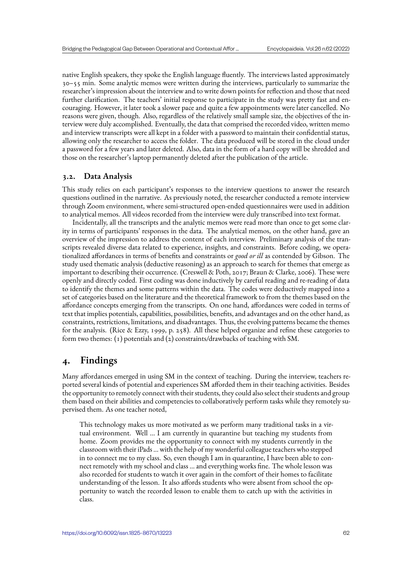native English speakers, they spoke the English language fluently. The interviews lasted approximately 30–55 min. Some analytic memos were written during the interviews, particularly to summarize the researcher's impression about the interview and to write down points for reflection and those that need further clarification. The teachers' initial response to participate in the study was pretty fast and encouraging. However, it later took a slower pace and quite a few appointments were later cancelled. No reasons were given, though. Also, regardless of the relatively small sample size, the objectives of the interview were duly accomplished. Eventually, the data that comprised the recorded video, written memo and interview transcripts were all kept in a folder with a password to maintain their confidential status, allowing only the researcher to access the folder. The data produced will be stored in the cloud under a password for a few years and later deleted. Also, data in the form of a hard copy will be shredded and those on the researcher's laptop permanently deleted after the publication of the article.

#### **3.2. Data Analysis**

This study relies on each participant's responses to the interview questions to answer the research questions outlined in the narrative. As previously noted, the researcher conducted a remote interview through Zoom environment, where semi-structured open-ended questionnaires were used in addition to analytical memos. All videos recorded from the interview were duly transcribed into text format.

Incidentally, all the transcripts and the analytic memos were read more than once to get some clarity in terms of participants' responses in the data. The analytical memos, on the other hand, gave an overview of the impression to address the content of each interview. Preliminary analysis of the transcripts revealed diverse data related to experience, insights, and constraints. Before coding, we operationalized affordances in terms of benefits and constraints or *good or ill* as contended by Gibson. The study used thematic analysis (deductive reasoning) as an approach to search for themes that emerge as important to describing their occurrence. (Creswell & Poth, 2017; Braun & Clarke, 2006). These were openly and directly coded. First coding was done inductively by careful reading and re-reading of data to identify the themes and some patterns within the data. The codes were deductively mapped into a set of categories based on the literature and the theoretical framework to from the themes based on the affordance concepts emerging from the transcripts. On one hand, affordances were coded in terms of text that implies potentials, capabilities, possibilities, benefits, and advantages and on the other hand, as constraints, restrictions, limitations, and disadvantages. Thus, the evolving patterns became the themes for the analysis. (Rice & Ezzy, 1999, p. 258). All these helped organize and refine these categories to form two themes: (1) potentials and (2) constraints/drawbacks of teaching with SM.

# **4. Findings**

Many affordances emerged in using SM in the context of teaching. During the interview, teachers reported several kinds of potential and experiences SM afforded them in their teaching activities. Besides the opportunity to remotely connect with their students, they could also select their students and group them based on their abilities and competencies to collaboratively perform tasks while they remotely supervised them. As one teacher noted,

This technology makes us more motivated as we perform many traditional tasks in a virtual environment. Well … I am currently in quarantine but teaching my students from home. Zoom provides me the opportunity to connect with my students currently in the classroom with their iPads … with the help of my wonderful colleague teachers who stepped in to connect me to my class. So, even though I am in quarantine, I have been able to connect remotely with my school and class … and everything works fine. The whole lesson was also recorded for students to watch it over again in the comfort of their homes to facilitate understanding of the lesson. It also affords students who were absent from school the opportunity to watch the recorded lesson to enable them to catch up with the activities in class.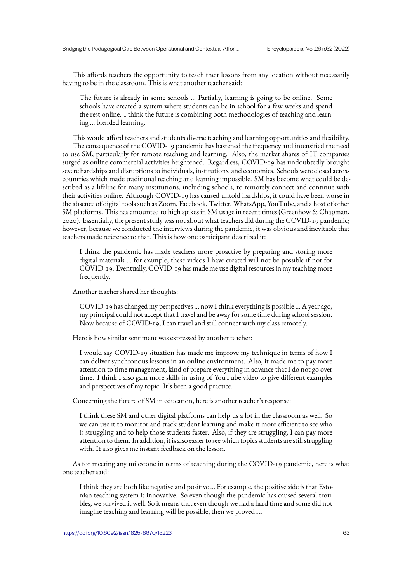This affords teachers the opportunity to teach their lessons from any location without necessarily having to be in the classroom. This is what another teacher said:

The future is already in some schools … Partially, learning is going to be online. Some schools have created a system where students can be in school for a few weeks and spend the rest online. I think the future is combining both methodologies of teaching and learning … blended learning.

This would afford teachers and students diverse teaching and learning opportunities and flexibility. The consequence of the COVID-19 pandemic has hastened the frequency and intensified the need to use SM, particularly for remote teaching and learning. Also, the market shares of IT companies surged as online commercial activities heightened. Regardless, COVID-19 has undoubtedly brought severe hardships and disruptions to individuals, institutions, and economies. Schools were closed across countries which made traditional teaching and learning impossible. SM has become what could be described as a lifeline for many institutions, including schools, to remotely connect and continue with their activities online. Although COVID-19 has caused untold hardships, it could have been worse in the absence of digital tools such as Zoom, Facebook, Twitter, WhatsApp, YouTube, and a host of other SM platforms. This has amounted to high spikes in SM usage in recent times (Greenhow & Chapman, 2020). Essentially, the present study was not about what teachers did during the COVID-19 pandemic; however, because we conducted the interviews during the pandemic, it was obvious and inevitable that teachers made reference to that. This is how one participant described it:

I think the pandemic has made teachers more proactive by preparing and storing more digital materials … for example, these videos I have created will not be possible if not for COVID-19. Eventually, COVID-19 has made me use digital resources in my teaching more frequently.

Another teacher shared her thoughts:

COVID-19 has changed my perspectives … now I think everything is possible … A year ago, my principal could not accept that I travel and be away for some time during school session. Now because of COVID-19, I can travel and still connect with my class remotely.

Here is how similar sentiment was expressed by another teacher:

I would say COVID-19 situation has made me improve my technique in terms of how I can deliver synchronous lessons in an online environment. Also, it made me to pay more attention to time management, kind of prepare everything in advance that I do not go over time. I think I also gain more skills in using of YouTube video to give different examples and perspectives of my topic. It's been a good practice.

Concerning the future of SM in education, here is another teacher's response:

I think these SM and other digital platforms can help us a lot in the classroom as well. So we can use it to monitor and track student learning and make it more efficient to see who is struggling and to help those students faster. Also, if they are struggling, I can pay more attention to them. In addition, it is also easier to see which topics students are still struggling with. It also gives me instant feedback on the lesson.

As for meeting any milestone in terms of teaching during the COVID-19 pandemic, here is what one teacher said:

I think they are both like negative and positive … For example, the positive side is that Estonian teaching system is innovative. So even though the pandemic has caused several troubles, we survived it well. So it means that even though we had a hard time and some did not imagine teaching and learning will be possible, then we proved it.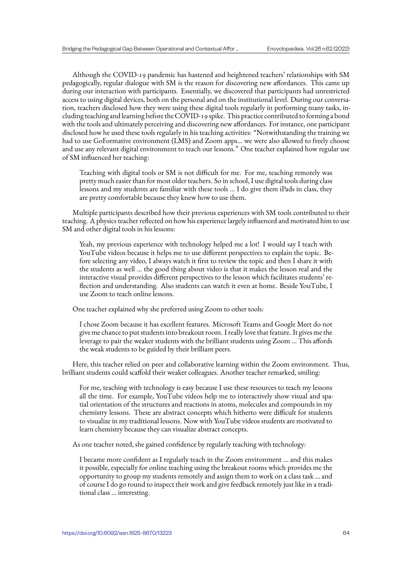Although the COVID-19 pandemic has hastened and heightened teachers' relationships with SM pedagogically, regular dialogue with SM is the reason for discovering new affordances. This came up during our interaction with participants. Essentially, we discovered that participants had unrestricted access to using digital devices, both on the personal and on the institutional level. During our conversation, teachers disclosed how they were using these digital tools regularly in performing many tasks, including teaching and learning before the COVID-19 spike. This practice contributed to forming a bond with the tools and ultimately perceiving and discovering new affordances. For instance, one participant disclosed how he used these tools regularly in his teaching activities: "Notwithstanding the training we had to use GoFormative environment (LMS) and Zoom apps… we were also allowed to freely choose and use any relevant digital environment to teach our lessons." One teacher explained how regular use of SM influenced her teaching:

Teaching with digital tools or SM is not difficult for me. For me, teaching remotely was pretty much easier than for most older teachers. So in school, I use digital tools during class lessons and my students are familiar with these tools … I do give them iPads in class, they are pretty comfortable because they knew how to use them.

Multiple participants described how their previous experiences with SM tools contributed to their teaching. A physics teacher reflected on how his experience largely influenced and motivated him to use SM and other digital tools in his lessons:

Yeah, my previous experience with technology helped me a lot! I would say I teach with YouTube videos because it helps me to use different perspectives to explain the topic. Before selecting any video, I always watch it first to review the topic and then I share it with the students as well … the good thing about video is that it makes the lesson real and the interactive visual provides different perspectives to the lesson which facilitates students' reflection and understanding. Also students can watch it even at home. Beside YouTube, I use Zoom to teach online lessons.

One teacher explained why she preferred using Zoom to other tools:

I chose Zoom because it has excellent features. Microsoft Teams and Google Meet do not give me chance to put students into breakout room. I really love that feature. It gives me the leverage to pair the weaker students with the brilliant students using Zoom … This affords the weak students to be guided by their brilliant peers.

Here, this teacher relied on peer and collaborative learning within the Zoom environment. Thus, brilliant students could scaffold their weaker colleagues. Another teacher remarked, smiling:

For me, teaching with technology is easy because I use these resources to teach my lessons all the time. For example, YouTube videos help me to interactively show visual and spatial orientation of the structures and reactions in atoms, molecules and compounds in my chemistry lessons. These are abstract concepts which hitherto were difficult for students to visualize in my traditional lessons. Now with YouTube videos students are motivated to learn chemistry because they can visualize abstract concepts.

As one teacher noted, she gained confidence by regularly teaching with technology:

I became more confident as I regularly teach in the Zoom environment … and this makes it possible, especially for online teaching using the breakout rooms which provides me the opportunity to group my students remotely and assign them to work on a class task … and of course I do go round to inspect their work and give feedback remotely just like in a traditional class … interesting.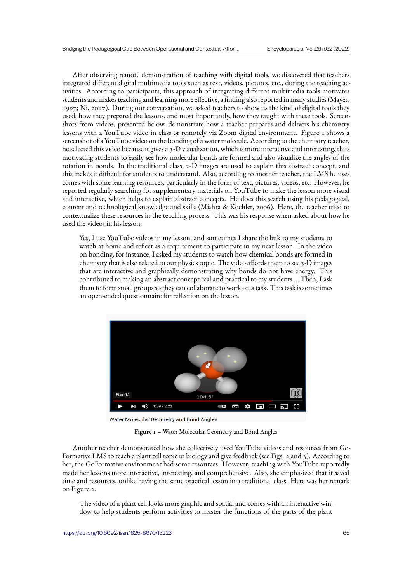After observing remote demonstration of teaching with digital tools, we discovered that teachers integrated different digital multimedia tools such as text, videos, pictures, etc., during the teaching activities. According to participants, this approach of integrating different multimedia tools motivates students and makes teaching and learning more effective, a finding also reported in many studies (Mayer, 1997; Ni, 2017). During our conversation, we asked teachers to show us the kind of digital tools they used, how they prepared the lessons, and most importantly, how they taught with these tools. Screenshots from videos, presented below, demonstrate how a teacher prepares and delivers his chemistry lessons with a YouTube video in class or remotely via Zoom digital environment. Figure 1 shows a screenshot of a YouTube video on the bonding of a water molecule. According to the chemistry teacher, he selected this video because it gives a 3-D visualization, which is more interactive and interesting, thus motivating students to easily see how molecular bonds are formed and also visualize the angles of the rotation in bonds. In the traditional class, 2-D images are used to explain this abstract concept, and this makes it difficult for students to understand. Also, according to another teacher, the LMS he uses comes with some learning resources, particularly in the form of text, pictures, videos, etc. However, he reported regularly searching for supplementary materials on YouTube to make the lesson more visual and interactive, which helps to explain abstract concepts. He does this search using his pedagogical, content and technological knowledge and skills (Mishra & Koehler, 2006). Here, the teacher tried to contextualize these resources in the teaching process. This was his response when asked about how he used the videos in his lesson:

Yes, I use YouTube videos in my lesson, and sometimes I share the link to my students to watch at home and reflect as a requirement to participate in my next lesson. In the video on bonding, for instance, I asked my students to watch how chemical bonds are formed in chemistry that is also related to our physics topic. The video affords them to see 3-D images that are interactive and graphically demonstrating why bonds do not have energy. This contributed to making an abstract concept real and practical to my students … Then, I ask them to form small groups so they can collaborate to work on a task. This task is sometimes an open-ended questionnaire for reflection on the lesson.



Water Molecular Geometry and Bond Angles

**Figure 1** – Water Molecular Geometry and Bond Angles

Another teacher demonstrated how she collectively used YouTube videos and resources from Go-Formative LMS to teach a plant cell topic in biology and give feedback (see Figs. 2 and 3). According to her, the GoFormative environment had some resources. However, teaching with YouTube reportedly made her lessons more interactive, interesting, and comprehensive. Also, she emphasized that it saved time and resources, unlike having the same practical lesson in a traditional class. Here was her remark on Figure 2.

The video of a plant cell looks more graphic and spatial and comes with an interactive window to help students perform activities to master the functions of the parts of the plant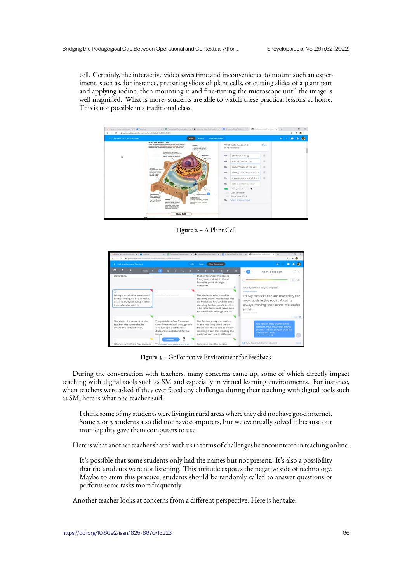cell. Certainly, the interactive video saves time and inconvenience to mount such an experiment, such as, for instance, preparing slides of plant cells, or cutting slides of a plant part and applying iodine, then mounting it and fine-tuning the microscope until the image is well magnified. What is more, students are able to watch these practical lessons at home. This is not possible in a traditional class.

| < Cell structure and function | Edit<br><b>Assign</b>                                                                                                                                                                                                                                                                                                     | <b>View Responses</b>    |                                          |               | $\bullet$ |  |
|-------------------------------|---------------------------------------------------------------------------------------------------------------------------------------------------------------------------------------------------------------------------------------------------------------------------------------------------------------------------|--------------------------|------------------------------------------|---------------|-----------|--|
|                               | <b>Plant and Animal Cells</b><br>These illustrations show tusical structures found in alant.<br><b>Number</b><br>and animal cells. Comparing and Contracting Journily<br>The markets directs all<br>alter lemme taxt tax and allers trade in family students with<br>of the cell's activities,<br>including reproduction. |                          | What is the function of<br>mitochondria? | $\bigoplus$   |           |  |
| ь                             | <b>Endoplaces Betticulum</b><br>This naturals of passagement<br>carries materials from one<br>Cytophere<br>part of the cell to another.                                                                                                                                                                                   | $O_{\mathcal{F}}$        | produce energy                           | ×             |           |  |
|                               |                                                                                                                                                                                                                                                                                                                           | $O_{\mathcal{H}}$        | energy production                        | ×             |           |  |
|                               | Call Mode                                                                                                                                                                                                                                                                                                                 | $O_{\rm T}$              | powerhouse of the cell                   | $\mathbb{R}$  |           |  |
|                               | in a plant cell, a still<br>wall surrounds the<br>membrane, giving<br>the cell a right.                                                                                                                                                                                                                                   | $O_{\text{W}}$           | To regulate cellular meta                | $\mathcal{L}$ |           |  |
|                               | boxike shape.                                                                                                                                                                                                                                                                                                             | $O_{\text{TT}}$          | It produces most of the e                |               |           |  |
|                               |                                                                                                                                                                                                                                                                                                                           | $O_{\text{int}}$         | Add a correct answer                     |               |           |  |
|                               |                                                                                                                                                                                                                                                                                                                           |                          | Allow partial match                      |               |           |  |
|                               | Mike Roomfield<br>Chicaroptismin                                                                                                                                                                                                                                                                                          | $\overline{\phantom{a}}$ | Case sensitive                           |               |           |  |
|                               | <b>These organization</b><br>capture energy<br>Fall Mainboare<br><b>Bront sunctions and</b>                                                                                                                                                                                                                               | 200                      | Show Your Work                           |               |           |  |
|                               | The cell membrane protects<br>Wastenberg<br>use it to produce<br>the cell and requisies what<br>Most mature plant cells<br>food for the cell.<br>substances enter and leave<br>have one large vacuote.                                                                                                                    | s                        | Select standards set                     |               |           |  |
|                               | the cell.<br>This said written the<br>cytoplasm stores water.<br>food, wante products.                                                                                                                                                                                                                                    |                          |                                          |               |           |  |

**Figure 2** – A Plant Cell



**Figure 3** – GoFormative Environment for Feedback

During the conversation with teachers, many concerns came up, some of which directly impact teaching with digital tools such as SM and especially in virtual learning environments. For instance, when teachers were asked if they ever faced any challenges during their teaching with digital tools such as SM, here is what one teacher said:

I think some of my students were living in rural areas where they did not have good internet. Some 2 or 3 students also did not have computers, but we eventually solved it because our municipality gave them computers to use.

Here is what another teacher shared with us in terms of challenges he encountered in teaching online:

It's possible that some students only had the names but not present. It's also a possibility that the students were not listening. This attitude exposes the negative side of technology. Maybe to stem this practice, students should be randomly called to answer questions or perform some tasks more frequently.

Another teacher looks at concerns from a different perspective. Here is her take: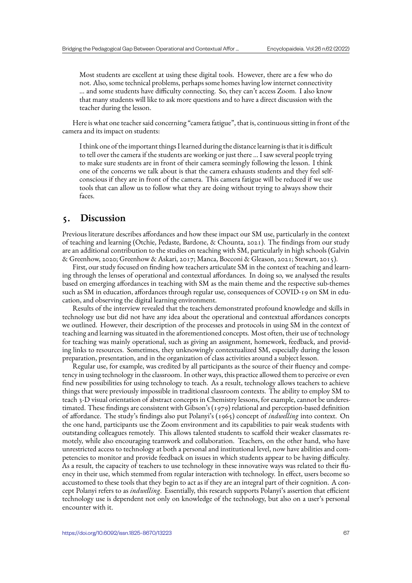Most students are excellent at using these digital tools. However, there are a few who do not. Also, some technical problems, perhaps some homes having low internet connectivity … and some students have difficulty connecting. So, they can't access Zoom. I also know that many students will like to ask more questions and to have a direct discussion with the teacher during the lesson.

Here is what one teacher said concerning "camera fatigue", that is, continuous sitting in front of the camera and its impact on students:

I think one of the important things I learned during the distance learning is that it is difficult to tell over the camera if the students are working or just there … I saw several people trying to make sure students are in front of their camera seemingly following the lesson. I think one of the concerns we talk about is that the camera exhausts students and they feel selfconscious if they are in front of the camera. This camera fatigue will be reduced if we use tools that can allow us to follow what they are doing without trying to always show their faces.

## **5. Discussion**

Previous literature describes affordances and how these impact our SM use, particularly in the context of teaching and learning (Otchie, Pedaste, Bardone, & Chounta, 2021). The findings from our study are an additional contribution to the studies on teaching with SM, particularly in high schools (Galvin & Greenhow, 2020; Greenhow & Askari, 2017; Manca, Bocconi & Gleason, 2021; Stewart, 2015).

First, our study focused on finding how teachers articulate SM in the context of teaching and learning through the lenses of operational and contextual affordances. In doing so, we analysed the results based on emerging affordances in teaching with SM as the main theme and the respective sub-themes such as SM in education, affordances through regular use, consequences of COVID-19 on SM in education, and observing the digital learning environment.

Results of the interview revealed that the teachers demonstrated profound knowledge and skills in technology use but did not have any idea about the operational and contextual affordances concepts we outlined. However, their description of the processes and protocols in using SM in the context of teaching and learning was situated in the aforementioned concepts. Most often, their use of technology for teaching was mainly operational, such as giving an assignment, homework, feedback, and providing links to resources. Sometimes, they unknowingly contextualized SM, especially during the lesson preparation, presentation, and in the organization of class activities around a subject lesson.

Regular use, for example, was credited by all participants as the source of their fluency and competency in using technology in the classroom. In other ways, this practice allowed them to perceive or even find new possibilities for using technology to teach. As a result, technology allows teachers to achieve things that were previously impossible in traditional classroom contexts. The ability to employ SM to teach 3-D visual orientation of abstract concepts in Chemistry lessons, for example, cannot be underestimated. These findings are consistent with Gibson's (1979) relational and perception-based definition of affordance. The study's findings also put Polanyi's (1965) concept of *indwelling* into context. On the one hand, participants use the Zoom environment and its capabilities to pair weak students with outstanding colleagues remotely. This allows talented students to scaffold their weaker classmates remotely, while also encouraging teamwork and collaboration. Teachers, on the other hand, who have unrestricted access to technology at both a personal and institutional level, now have abilities and competencies to monitor and provide feedback on issues in which students appear to be having difficulty. As a result, the capacity of teachers to use technology in these innovative ways was related to their fluency in their use, which stemmed from regular interaction with technology. In effect, users become so accustomed to these tools that they begin to act as if they are an integral part of their cognition. A concept Polanyi refers to as *indwelling*. Essentially, this research supports Polanyi's assertion that efficient technology use is dependent not only on knowledge of the technology, but also on a user's personal encounter with it.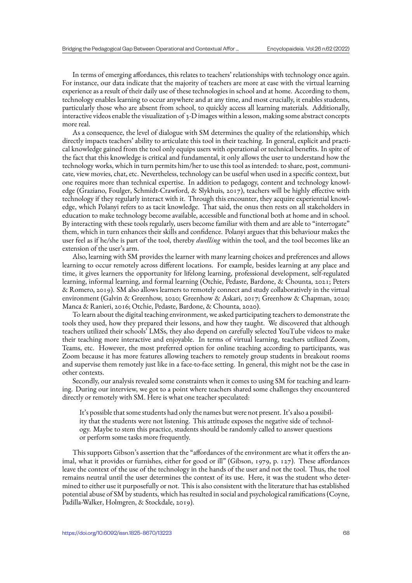In terms of emerging affordances, this relates to teachers' relationships with technology once again. For instance, our data indicate that the majority of teachers are more at ease with the virtual learning experience as a result of their daily use of these technologies in school and at home. According to them, technology enables learning to occur anywhere and at any time, and most crucially, it enables students, particularly those who are absent from school, to quickly access all learning materials. Additionally, interactive videos enable the visualization of  $\alpha$ -D images within a lesson, making some abstract concepts more real.

As a consequence, the level of dialogue with SM determines the quality of the relationship, which directly impacts teachers' ability to articulate this tool in their teaching. In general, explicit and practical knowledge gained from the tool only equips users with operational or technical benefits. In spite of the fact that this knowledge is critical and fundamental, it only allows the user to understand how the technology works, which in turn permits him/her to use this tool as intended: to share, post, communicate, view movies, chat, etc. Nevertheless, technology can be useful when used in a specific context, but one requires more than technical expertise. In addition to pedagogy, content and technology knowledge (Graziano, Foulger, Schmidt-Crawford, & Slykhuis, 2017), teachers will be highly effective with technology if they regularly interact with it. Through this encounter, they acquire experiential knowledge, which Polanyi refers to as tacit knowledge. That said, the onus then rests on all stakeholders in education to make technology become available, accessible and functional both at home and in school. By interacting with these tools regularly, users become familiar with them and are able to "interrogate" them, which in turn enhances their skills and confidence. Polanyi argues that this behaviour makes the user feel as if he/she is part of the tool, thereby *dwelling* within the tool, and the tool becomes like an extension of the user's arm.

Also, learning with SM provides the learner with many learning choices and preferences and allows learning to occur remotely across different locations. For example, besides learning at any place and time, it gives learners the opportunity for lifelong learning, professional development, self-regulated learning, informal learning, and formal learning (Otchie, Pedaste, Bardone, & Chounta, 2021; Peters & Romero, 2019). SM also allows learners to remotely connect and study collaboratively in the virtual environment (Galvin & Greenhow, 2020; Greenhow & Askari, 2017; Greenhow & Chapman, 2020; Manca & Ranieri, 2016; Otchie, Pedaste, Bardone, & Chounta, 2020).

To learn about the digital teaching environment, we asked participating teachers to demonstrate the tools they used, how they prepared their lessons, and how they taught. We discovered that although teachers utilized their schools' LMSs, they also depend on carefully selected YouTube videos to make their teaching more interactive and enjoyable. In terms of virtual learning, teachers utilized Zoom, Teams, etc. However, the most preferred option for online teaching according to participants, was Zoom because it has more features allowing teachers to remotely group students in breakout rooms and supervise them remotely just like in a face-to-face setting. In general, this might not be the case in other contexts.

Secondly, our analysis revealed some constraints when it comes to using SM for teaching and learning. During our interview, we got to a point where teachers shared some challenges they encountered directly or remotely with SM. Here is what one teacher speculated:

It's possible that some students had only the names but were not present. It's also a possibility that the students were not listening. This attitude exposes the negative side of technology. Maybe to stem this practice, students should be randomly called to answer questions or perform some tasks more frequently.

This supports Gibson's assertion that the "affordances of the environment are what it offers the animal, what it provides or furnishes, either for good or ill" (Gibson, 1979, p. 127). These affordances leave the context of the use of the technology in the hands of the user and not the tool. Thus, the tool remains neutral until the user determines the context of its use. Here, it was the student who determined to either use it purposefully or not. This is also consistent with the literature that has established potential abuse of SM by students, which has resulted in social and psychological ramifications (Coyne, Padilla-Walker, Holmgren, & Stockdale, 2019).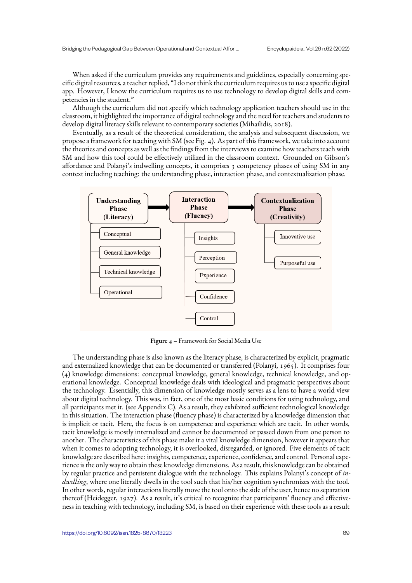When asked if the curriculum provides any requirements and guidelines, especially concerning specific digital resources, a teacher replied, "I do not think the curriculum requires us to use a specific digital app. However, I know the curriculum requires us to use technology to develop digital skills and competencies in the student."

Although the curriculum did not specify which technology application teachers should use in the classroom, it highlighted the importance of digital technology and the need for teachers and students to develop digital literacy skills relevant to contemporary societies (Mihailidis, 2018).

Eventually, as a result of the theoretical consideration, the analysis and subsequent discussion, we propose a framework for teaching with SM (see Fig. 4). As part of this framework, we take into account the theories and concepts as well as the findings from the interviews to examine how teachers teach with SM and how this tool could be effectively utilized in the classroom context. Grounded on Gibson's affordance and Polanyi's indwelling concepts, it comprises 3 competency phases of using SM in any context including teaching: the understanding phase, interaction phase, and contextualization phase.



**Figure 4** – Framework for Social Media Use

The understanding phase is also known as the literacy phase, is characterized by explicit, pragmatic and externalized knowledge that can be documented or transferred (Polanyi, 1965). It comprises four (4) knowledge dimensions: conceptual knowledge, general knowledge, technical knowledge, and operational knowledge. Conceptual knowledge deals with ideological and pragmatic perspectives about the technology. Essentially, this dimension of knowledge mostly serves as a lens to have a world view about digital technology. This was, in fact, one of the most basic conditions for using technology, and all participants met it. (see Appendix C). As a result, they exhibited sufficient technological knowledge in this situation. The interaction phase (fluency phase) is characterized by a knowledge dimension that is implicit or tacit. Here, the focus is on competence and experience which are tacit. In other words, tacit knowledge is mostly internalized and cannot be documented or passed down from one person to another. The characteristics of this phase make it a vital knowledge dimension, however it appears that when it comes to adopting technology, it is overlooked, disregarded, or ignored. Five elements of tacit knowledge are described here: insights, competence, experience, confidence, and control. Personal experience is the only way to obtain these knowledge dimensions. As a result, this knowledge can be obtained by regular practice and persistent dialogue with the technology. This explains Polanyi's concept of *indwelling*, where one literally dwells in the tool such that his/her cognition synchronizes with the tool. In other words, regular interactions literally move the tool onto the side of the user, hence no separation thereof (Heidegger, 1927). As a result, it's critical to recognize that participants' fluency and effectiveness in teaching with technology, including SM, is based on their experience with these tools as a result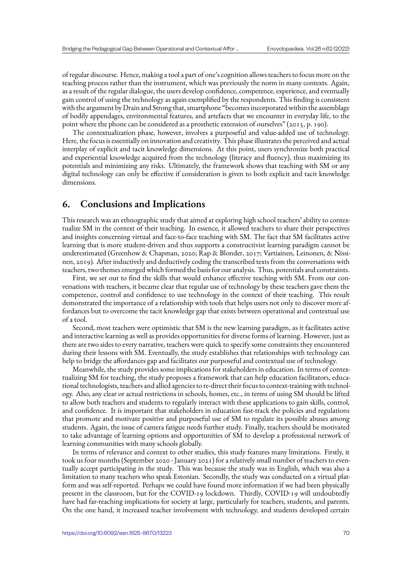of regular discourse. Hence, making a tool a part of one's cognition allows teachers to focus more on the teaching process rather than the instrument, which was previously the norm in many contexts. Again, as a result of the regular dialogue, the users develop confidence, competence, experience, and eventually gain control of using the technology as again exemplified by the respondents. This finding is consistent with the argument by Drain and Strong that, smartphone "becomes incorporated within the assemblage of bodily appendages, environmental features, and artefacts that we encounter in everyday life, to the point where the phone can be considered as a prosthetic extension of ourselves" (2015, p. 190).

The contextualization phase, however, involves a purposeful and value-added use of technology. Here, the focus is essentially on innovation and creativity. This phase illustrates the perceived and actual interplay of explicit and tacit knowledge dimensions. At this point, users synchronize both practical and experiential knowledge acquired from the technology (literacy and fluency), thus maximizing its potentials and minimizing any risks. Ultimately, the framework shows that teaching with SM or any digital technology can only be effective if consideration is given to both explicit and tacit knowledge dimensions.

# **6. Conclusions and Implications**

This research was an ethnographic study that aimed at exploring high school teachers' ability to contextualize SM in the context of their teaching. In essence, it allowed teachers to share their perspectives and insights concerning virtual and face-to-face teaching with SM. The fact that SM facilitates active learning that is more student-driven and thus supports a constructivist learning paradigm cannot be underestimated (Greenhow & Chapman, 2020; Rap & Blonder, 2017; Vartiainen, Leinonen, & Nissinen, 2019). After inductively and deductively coding the transcribed texts from the conversations with teachers, two themes emerged which formed the basis for our analysis. Thus, potentials and constraints.

First, we set out to find the skills that would enhance effective teaching with SM. From our conversations with teachers, it became clear that regular use of technology by these teachers gave them the competence, control and confidence to use technology in the context of their teaching. This result demonstrated the importance of a relationship with tools that helps users not only to discover more affordances but to overcome the tacit knowledge gap that exists between operational and contextual use of a tool.

Second, most teachers were optimistic that SM is the new learning paradigm, as it facilitates active and interactive learning as well as provides opportunities for diverse forms of learning. However, just as there are two sides to every narrative, teachers were quick to specify some constraints they encountered during their lessons with SM. Eventually, the study establishes that relationships with technology can help to bridge the affordances gap and facilitates our purposeful and contextual use of technology.

Meanwhile, the study provides some implications for stakeholders in education. In terms of contextualizing SM for teaching, the study proposes a framework that can help education facilitators, educational technologists, teachers and allied agencies to re-direct their focus to context-training with technology. Also, any clear or actual restrictions in schools, homes, etc., in terms of using SM should be lifted to allow both teachers and students to regularly interact with these applications to gain skills, control, and confidence. It is important that stakeholders in education fast-track the policies and regulations that promote and motivate positive and purposeful use of SM to regulate its possible abuses among students. Again, the issue of camera fatigue needs further study. Finally, teachers should be motivated to take advantage of learning options and opportunities of SM to develop a professional network of learning communities with many schools globally.

In terms of relevance and context to other studies, this study features many limitations. Firstly, it took us four months (September 2020 - January 2021) for a relatively small number of teachers to eventually accept participating in the study. This was because the study was in English, which was also a limitation to many teachers who speak Estonian. Secondly, the study was conducted on a virtual platform and was self-reported. Perhaps we could have found more information if we had been physically present in the classroom, but for the COVID-19 lockdown. Thirdly, COVID-19 will undoubtedly have had far-reaching implications for society at large, particularly for teachers, students, and parents. On the one hand, it increased teacher involvement with technology, and students developed certain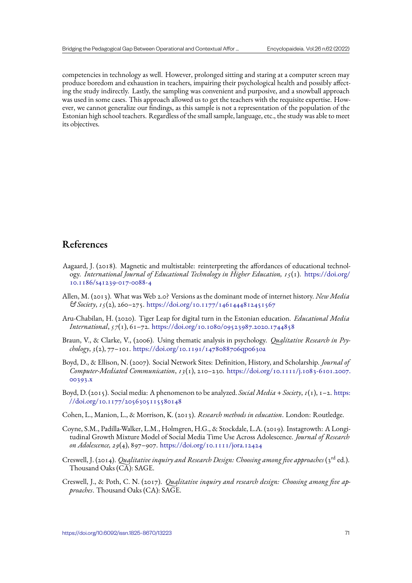competencies in technology as well. However, prolonged sitting and staring at a computer screen may produce boredom and exhaustion in teachers, impairing their psychological health and possibly affecting the study indirectly. Lastly, the sampling was convenient and purposive, and a snowball approach was used in some cases. This approach allowed us to get the teachers with the requisite expertise. However, we cannot generalize our findings, as this sample is not a representation of the population of the Estonian high school teachers. Regardless of the small sample, language, etc., the study was able to meet its objectives.

# **References**

- Aagaard, J. (2018). Magnetic and multistable: reinterpreting the affordances of educational technology. *International Journal of Educational Technology in Higher Education, 15*(1). https://doi.org/ 10.1186/s41239-017-0088-4
- Allen, M. (2013). What was Web 2.0? Versions as the dominant mode of internet history. *New Media & Society*, *15*(2), 260–275. https://doi.org/10.1177/1461444812451567
- A[ru-Chabilan, H. \(2020\). Tige](https://doi.org/10.1186/s41239-017-0088-4)r Leap for digital turn in the Estonian education. *Educational Media International*, *57*(1), 61–72. https://doi.org/10.1080/09523987.2020.1744858
- Braun, V., & Clarke, V., (200[6\). Using thematic analysis in psychology.](https://doi.org/10.1177/1461444812451567) *Qualitative Research in Psychology*, *3*(2), 77–101. https://doi.org/10.1191/1478088706qp063oa
- Boyd, D., & Ellison, N. (2007). [Social Network Sites: Definition, History, and Sch](https://doi.org/10.1080/09523987.2020.1744858)olarship. *Journal of Computer-Mediated Communication*, *13*(1), 210–230. https://doi.org/10.1111/j.1083-6101.2007. 00393.x
- Boyd, D. (2015). Social media: A phenomenon to be analyzed. *Social Media + Society*, *1*(1), 1–2. https: //doi.org/10.1177/2056305115580148
- C[ohen, L.,](https://doi.org/10.1111/j.1083-6101.2007.00393.x) Manion, L., & Morrison, K. (2013). *Research methods in education*. London: Routledge.
- Coyne, S.M., Padilla-Walker, L.M., Holmgren, H.G., & Stockdale, L.A. (2019). Instagrowth: A [Longi](https://doi.org/10.1177/2056305115580148)[tudinal Growth Mixture Model of Socia](https://doi.org/10.1177/2056305115580148)l Media Time Use Across Adolescence. *Journal of Research on Adolescence, 29*(4), 897–907. https://doi.org/10.1111/jora.12424
- Creswell, J. (2014). *Qualitative inquiry and Research Design: Choosing among five approaches* (3rd ed.). Thousand Oaks  $(C\bar{A})$ : SAGE.
- Creswell, J., & Poth, C. N. (2017). *[Qualitative inquiry and research d](https://doi.org/10.1111/jora.12424)esign: Choosing among five approaches*. Thousand Oaks (CA): SAGE.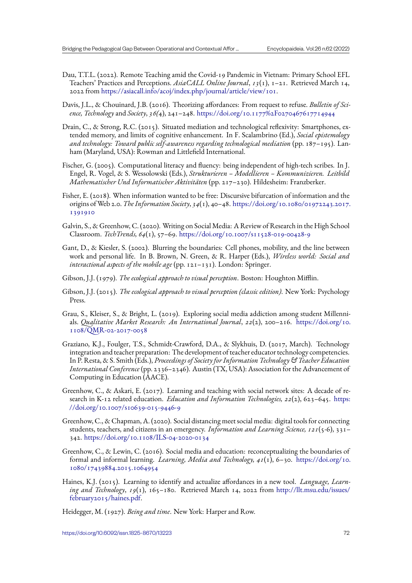- Dau, T.T.L. (2022). Remote Teaching amid the Covid-19 Pandemic in Vietnam: Primary School EFL Teachers' Practices and Perceptions. *AsiaCALL Online Journal*, *13*(1), 1–21. Retrieved March 14, 2022 from https://asiacall.info/acoj/index.php/journal/article/view/101.
- Davis, J.L., & Chouinard, J.B. (2016). Theorizing affordances: From request to refuse. *Bulletin of Science, Technology* and *Society*, *36(*4), 241–248. https://doi.org/10.1177%2F0270467617714944
- Drain, C., & [Strong, R.C. \(2015\). Situated mediation and technological refl](https://asiacall.info/acoj/index.php/journal/article/view/101)exivity: Smartphones, extended memory, and limits of cognitive enhancement. In F. Scalambrino (Ed.), *Social epistemology and technology: Toward public self-awareness [regarding technological mediation](https://doi.org/10.1177%2F0270467617714944)* (pp. 187–195). Lanham (Maryland, USA): Rowman and Littlefield International.
- Fischer, G. (2005). Computational literacy and fluency: being independent of high-tech scribes. In J. Engel, R. Vogel, & S. Wessolowski (Eds.), *Strukturieren – Modellieren – Kommunizieren. Leitbild Mathematischer Und Informatischer Aktivitäten* (pp. 217–230). Hildesheim: Franzberker.
- Fisher, E. (2018). When information wanted to be free: Discursive bifurcation of information and the origins of Web 2.0. *The Information Society*, *34*(1), 40–48. https://doi.org/10.1080/01972243.2017. 1391910
- Galvin, S., & Greenhow, C. (2020). Writing on Social Media: A Review of Research in the High School Classroom. *TechTrends, 64*(1), 57–69. https://doi.org/10[.1007/s11528-019-00428-9](https://doi.org/10.1080/01972243.2017.1391910)
- G[ant, D., &](https://doi.org/10.1080/01972243.2017.1391910) Kiesler, S. (2002). Blurring the boundaries: Cell phones, mobility, and the line between work and personal life. In B. Brown, N. Green, & R. Harper (Eds.), *Wireless world: Social and interactional aspects of the mobile age* ([pp. 121–131\). London: Springer.](https://doi.org/10.1007/s11528-019-00428-9)
- Gibson, J.J. (1979). *The ecological approach to visual perception*. Boston: Houghton Mifflin.
- Gibson, J.J. (2015). *The ecological approach to visual perception (classic edition)*. New York: Psychology Press.
- Grau, S., Kleiser, S., & Bright, L. (2019). Exploring social media addiction among student Millennials. *Qualitative Market Research: An International Journal*, *22*(2), 200–216. https://doi.org/10. 1108/QMR-02-2017-0058
- Graziano, K.J., Foulger, T.S., Schmidt-Crawford, D.A., & Slykhuis, D. (2017, March). Technology integration and teacher preparation: The development of teacher educator techn[ology competencies.](https://doi.org/10.1108/QMR-02-2017-0058) [In P. Resta, & S. Smith \(Eds.](https://doi.org/10.1108/QMR-02-2017-0058)), *Proceedings of Society for Information Technology & Teacher Education International Conference* (pp. 2336–2346). Austin (TX, USA): Association for the Advancement of Computing in Education (AACE).
- Greenhow, C., & Askari, E. (2017). Learning and teaching with social network sites: A decade of research in K-12 related education. *Education and Information Technologies, 22*(2), 623–645. https: //doi.org/10.1007/s10639-015-9446-9
- Greenhow, C., & Chapman, A. (2020). Social distancing meet social media: digital tools for connecting students, teachers, and citizens in an emergency. *Information and Learning Science, 121*(5-6), [331–](https://doi.org/10.1007/s10639-015-9446-9) 342. [https://doi.org/10.1108/ILS-04-2](https://doi.org/10.1007/s10639-015-9446-9)020-0134
- Greenhow, C., & Lewin, C. (2016). Social media and education: reconceptualizing the boundaries of formal and informal learning. *Learning, Media and Technology, 41*(1), 6–30. https://doi.org/10. 1080[/17439884.2015.1064954](https://doi.org/10.1108/ILS-04-2020-0134)
- Haines, K.J. (2015). Learning to identify and actualize affordances in a new tool. *Language, Learning and Technology*, *19*(1), 165–180. Retrieved March 14, 2022 from http:/[/llt.msu.edu/issues/](https://doi.org/10.1080/17439884.2015.1064954) [february2015/haines.pdf.](https://doi.org/10.1080/17439884.2015.1064954)

Heidegger, M. (1927). *Being and time*. New York: Harper and Row.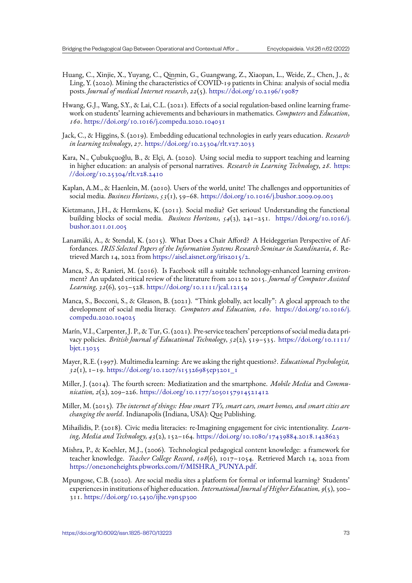- Huang, C., Xinjie, X., Yuyang, C., Qinmin, G., Guangwang, Z., Xiaopan, L., Weide, Z., Chen, J., & Ling, Y. (2020). Mining the characteristics of COVID-19 patients in China: analysis of social media posts. *Journal of medical Internet research*, *22*(5). https://doi.org/10.2196/19087
- Hwang, G.J., Wang, S.Y., & Lai, C.L. (2021). Effects of a social regulation-based online learning framework on students' learning achievements and behaviours in mathematics. *Computers*and *Education*, *160*. https://doi.org/10.1016/j.compedu.2020.1[04031](https://doi.org/10.2196/19087)
- Jack, C., & Higgins, S. (2019). Embedding educational technologies in early years education. *Research in learning technology*, *27*. https://doi.org/10.25304/rlt.v27.2033
- Kara, [N., Çubukçuoğlu, B., & Elçi, A. \(2020\). Using soc](https://doi.org/10.1016/j.compedu.2020.104031)ial media to support teaching and learning in higher education: an analysis of personal narratives. *Research in Learning Technology*, *28*. https: //doi.org/10.25304/rlt.v2[8.2410](https://doi.org/10.25304/rlt.v27.2033)
- Kaplan, A.M., & Haenlein, M. (2010). Users of the world, unite! The challenges and opportunities of social media. *Business Horizons*, *53*(1), 59–68. https://doi.org/10.1016/j.bushor.2009.09.003
- Ki[etzmann, J.H., & Hermkens, K. \(](https://doi.org/10.25304/rlt.v28.2410)2011). Social media? Get serious! Understanding the functional building blocks of social media. *Business Horizons*, *54*(3), 241–251. https://doi.org/10.1016/j. bushor.2011.01.005
- Lanamäki, A., & Stendal, K. (2015). What Does a Chair Afford? A Heideggerian Perspective of Affordances. *IRIS Selected Papers of the Information Systems Research Semi[nar in Scandinavia](https://doi.org/10.1016/j.bushor.2011.01.005)*, *6*. Re[trieved March 14, 20](https://doi.org/10.1016/j.bushor.2011.01.005)22 from https://aisel.aisnet.org/iris2015/2.
- Manca, S., & Ranieri, M. (2016). Is Facebook still a suitable technology-enhanced learning environment? An updated critical review of the literature from 2012 to 2015. *Journal of Computer Assisted Learning, 32*(6), 503–528. h[ttps://doi.org/10.1111/jcal.12154](https://aisel.aisnet.org/iris2015/2)
- Manca, S., Bocconi, S., & Gleason, B. (2021). "Think globally, act locally": A glocal approach to the development of social media literacy. *Computers and Education, 160*. https://doi.org/10.1016/j. compedu.2020.104025
- Marín, V.I., Carpenter, J. P., & Tur, G. (2021). Pre-service teachers' perceptions of social media data privacy policies. *British Journal of Educational Technology*, *52*(2), 519–535. [https://doi.org/10.1111/](https://doi.org/10.1016/j.compedu.2020.104025) [bjet.13035](https://doi.org/10.1016/j.compedu.2020.104025)
- Mayer, R.E. (1997). Multimedia learning: Are we asking the right questions?. *Educational Psychologist, 32*(1), 1–19. https://doi.org/10.1207/s15326985ep3201\_1
- M[iller, J. \(201](https://doi.org/10.1111/bjet.13035)4). The fourth screen: Mediatization and the smartphone. *Mobile Media* and *Communication, 2*(2), 209–226. https://doi.org/10.1177/2050157914521412
- Miller, M. (2015). *[The internet of things: How smart TVs, smar](https://doi.org/10.1207/s15326985ep3201_1)t cars, smart homes, and smart cities are changing the world*. Indianapolis (Indiana, USA): Que Publishing.
- Mihailidis, P. (2018). Civi[c media literacies: re-Imagining engagement fo](https://doi.org/10.1177/2050157914521412)r civic intentionality. *Learning, Media and Technology, 43*(2), 152–164. https://doi.org/10.1080/17439884.2018.1428623
- Mishra, P., & Koehler, M.J., (2006). Technological pedagogical content knowledge: a framework for teacher knowledge. *Teacher College Record*, *108*(6), 1017–1054. Retrieved March 14, 2022 from https://one2oneheights.pbworks.com/f/MI[SHRA\\_PUNYA.pdf.](https://doi.org/10.1080/17439884.2018.1428623)
- Mpungose, C.B. (2020). Are social media sites a platform for formal or informal learning? Students' experiences in institutions of higher education. *InternationalJournal of Higher Education, 9*(5), 300– 311. [https://doi.org/10.5430/ijhe.v9n5p300](https://one2oneheights.pbworks.com/f/MISHRA_PUNYA.pdf)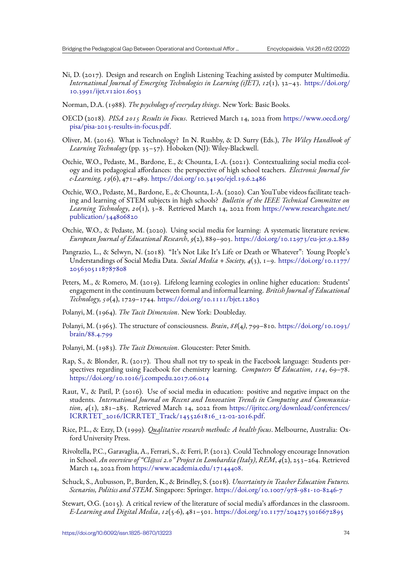- Ni, D. (2017). Design and research on English Listening Teaching assisted by computer Multimedia. *International Journal of Emerging Technologies in Learning (iJET)*, *12*(1), 32–43. https://doi.org/ 10.3991/ijet.v12i01.6053
- Norman, D.A. (1988). *The psychology of everyday things*. New York: Basic Books.
- OECD (2018). *PISA 2015 Results in Focus*. Retrieved March 14, 2022 from https:/[/www.oecd.org/](https://doi.org/10.3991/ijet.v12i01.6053) [pisa/pisa-2015-results-in-](https://doi.org/10.3991/ijet.v12i01.6053)focus.pdf.
- Oliver, M. (2016). What is Technology? In N. Rushby, & D. Surry (Eds.), *The Wiley Handbook of Learning Technology* (pp. 35–57). Hoboken (NJ): Wiley-Blackwell.
- O[tchie, W.O., Pedaste, M., Bardone, E](https://www.oecd.org/pisa/pisa-2015-results-in-focus.pdf)., & Chounta, I.-A. (2021). Contextualizing social media ecology and its pedagogical affordances: the perspective of high school teachers. *Electronic Journal for e-Learning, 19*(6), 471–489. https://doi.org/10.34190/ejel.19.6.2486
- Otchie, W.O., Pedaste, M., Bardone, E., & Chounta, I.-A. (2020). Can YouTube videos facilitate teaching and learning of STEM subjects in high schools? *Bulletin of the IEEE Technical Committee on Learning Technology*, *20*(1), [3–8. Retrieved March 14, 2022 from](https://doi.org/10.34190/ejel.19.6.2486) https://www.researchgate.net/ publication/344806820
- Otchie, W.O., & Pedaste, M. (2020). Using social media for learning: A systematic literature review. *European Journal of Educational Research*, *9*(2), 889–903. https://d[oi.org/10.12973/eu-jer.9.2.889](https://www.researchgate.net/publication/344806820)
- Pa[ngrazio, L., & Selwyn, N](https://www.researchgate.net/publication/344806820). (2018). "It's Not Like It's Life or Death or Whatever": Young People's Understandings of Social Media Data. *Social Media + Society, 4*(3), 1–9. https://doi.org/10.1177/ 2056305118787808
- Peters, M., & Romero, M. (2019). Lifelong learning ecologies in online higher education: Students' engagement in the continuum between formal and informal learning. *Brit[ish Journal of Educational](https://doi.org/10.1177/2056305118787808) [Technology, 50](https://doi.org/10.1177/2056305118787808)*(4), 1729–1744. https://doi.org/10.1111/bjet.12803
- Polanyi, M. (1964). *The Tacit Dimension*. New York: Doubleday.
- Polanyi, M. (1965). The structur[e of consciousness.](https://doi.org/10.1111/bjet.12803) *Brain*, *88*(4*)*, 799–810. https://doi.org/10.1093/ brain/88.4.799
- Polanyi, M. (1983). *The Tacit Dimension*. Gloucester: Peter Smith.
- Rap, S., & Blonder, R. (2017). Thou shall not try to speak in the Faceboo[k language: Students per](https://doi.org/10.1093/brain/88.4.799)[spectives regard](https://doi.org/10.1093/brain/88.4.799)ing using Facebook for chemistry learning. *Computers & Education*, *114*, 69–78. https://doi.org/10.1016/j.compedu.2017.06.014
- Raut, V., & Patil, P. (2016). Use of social media in education: positive and negative impact on the students. *International Journal on Recent and Innovation Trends in Computing and Communication*, *4*[\(1\), 281–285. Retrieved March 14, 2022](https://doi.org/10.1016/j.compedu.2017.06.014) from https://ijritcc.org/download/conferences/ ICRRTET\_2016/ICRRTET\_Track/1455261816\_12-02-2016.pdf.
- Rice, P.L., & Ezzy, D. (1999). *Qualitative research methods: A health focus*. Melbourne, Australia: Oxford University Press.
- Ri[voltella, P.C., Garavaglia, A., Ferrari, S., & Ferri, P. \(2012\). Could Tech](https://ijritcc.org/download/conferences/ICRRTET_2016/ICRRTET_Track/1455261816_12-02-2016.pdf)nology encourage Innovation in School. *An overview of "Cl@ssi 2.0" Project in Lombardia (Italy)*, *REM*, *4*(2), 253–264. Retrieved March 14, 2022 from https://www.academia.edu/17144408.
- Schuck, S., Aubusson, P., Burden, K., & Brindley, S. (2018). *Uncertainty in Teacher Education Futures. Scenarios, Politics and STEM*. Singapore: Springer. https://doi.org/10.1007/978-981-10-8246-7
- Stewart, O.G. (2015). A [critical review of the literature of socia](https://www.academia.edu/17144408)l media's affordances in the classroom. *E-Learning and Digital Media*, *12*(5-6), 481–501. https://doi.org/10.1177/2042753016672895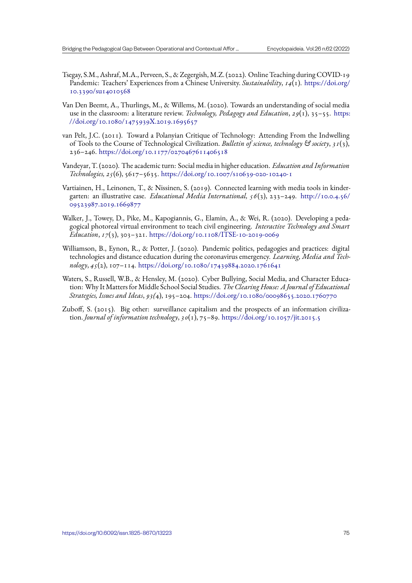- Tsegay, S.M., Ashraf, M.A., Perveen, S., & Zegergish, M.Z. (2022). Online Teaching during COVID-19 Pandemic: Teachers' Experiences from a Chinese University. *Sustainability*, *14*(1). https://doi.org/ 10.3390/su14010568
- Van Den Beemt, A., Thurlings, M., & Willems, M. (2020). Towards an understanding of social media use in the classroom: a literature review. *Technology, Pedagogy and Education*, *29*([1\), 35–55.](https://doi.org/10.3390/su14010568) https: [//doi.org/10.1080/14](https://doi.org/10.3390/su14010568)75939X.2019.1695657
- van Pelt, J.C. (2011). Toward a Polanyian Critique of Technology: Attending From the Indwelling of Tools to the Course of Technological Civilization. *Bulletin of science, technology & society*, *31*[\(3\),](https://doi.org/10.1080/1475939X.2019.1695657) 236–246. [https://doi.org/10.1177/02704676](https://doi.org/10.1080/1475939X.2019.1695657)11406518
- Vandeyar, T. (2020). The academic turn: Social media in higher education. *Education and Information Technologies, 25*(6), 5617–5635. https://doi.org/10.1007/s10639-020-10240-1
- Vartiainen, [H., Leinonen, T., & Nissinen, S. \(2019\). Conn](https://doi.org/10.1177/0270467611406518)ected learning with media tools in kindergarten: an illustrative case. *Educational Media International, 56*(3), 233–249. http://10.0.4.56/ 09523987.2019.1669877
- Walker, J., Towey, D., Pike, M., Kapogiannis, G., Elamin, A., & Wei, R. (2020). Developing a pedagogical photoreal virtual environment to teach civil engineering. *Interactive Tech[nology and Smart](http://10.0.4.56/09523987.2019.1669877) Education*, *17*[\(3\), 303–32](http://10.0.4.56/09523987.2019.1669877)1. https://doi.org/10.1108/ITSE-10-2019-0069
- Williamson, B., Eynon, R., & Potter, J. (2020). Pandemic politics, pedagogies and practices: digital technologies and distance education during the coronavirus emergency. *Learning, Media and Technology*, *45*(2), 107–114. htt[ps://doi.org/10.1080/17439884.2020.1761641](https://doi.org/10.1108/ITSE-10-2019-0069)
- Waters, S., Russell, W.B., & Hensley, M. (2020). Cyber Bullying, Social Media, and Character Education: Why It Matters for Middle School Social Studies. *The Clearing House: A Journal of Educational Strategies, Issues and Ideas*, *93(*4), 195–204. [https://doi.org/10.1080/00098](https://doi.org/10.1080/17439884.2020.1761641)655.2020.1760770
- Zuboff, S. (2015). Big other: surveillance capitalism and the prospects of an information civilization. *Journal of information technology*, *30*(1), 75–89. https://doi.org/10.1057/jit.2015.5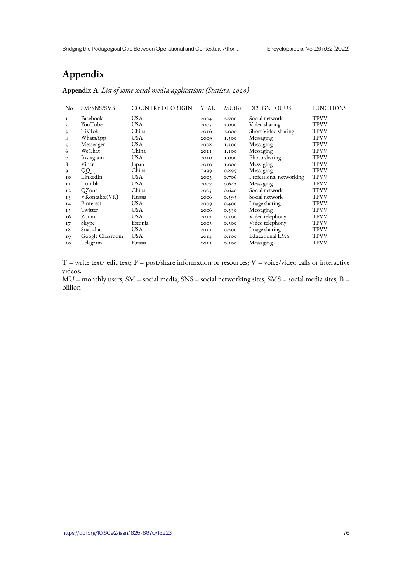# **Appendix**

| No             | SM/SNS/SMS       | COUNTRY OF ORIGIN | YEAR | MU(B)        | <b>DESIGN FOCUS</b>     | <b>FUNCTIONS</b> |
|----------------|------------------|-------------------|------|--------------|-------------------------|------------------|
| 1              | Facebook         | <b>USA</b>        | 2004 | 2.700        | Social network          | <b>TPVV</b>      |
| $\mathbf{2}$   | YouTube          | <b>USA</b>        | 2005 | 2.000        | Video sharing           | <b>TPVV</b>      |
| 3              | TikTok           | China             | 2016 | 2.000        | Short Video sharing     | <b>TPVV</b>      |
| 4              | WhatsApp         | <b>USA</b>        | 2009 | 1.500        | Messaging               | <b>TPVV</b>      |
| 5              | Messenger        | <b>USA</b>        | 2008 | 1.300        | Messaging               | <b>TPVV</b>      |
| 6              | WeChat           | China             | 20II | <b>I.IOO</b> | Messaging               | <b>TPVV</b>      |
|                | Instagram        | <b>USA</b>        | 2010 | <b>I.000</b> | Photo sharing           | <b>TPVV</b>      |
| 8              | Viber            | Japan             | 2010 | <b>I.000</b> | Messaging               | <b>TPVV</b>      |
| 9              | QQ               | China             | 1999 | 0.899        | Messaging               | <b>TPVV</b>      |
| IO             | LinkedIn         | <b>USA</b>        | 2003 | 0.706        | Professional networking | <b>TPVV</b>      |
| II             | Tumblr           | <b>USA</b>        | 2007 | 0.642        | Messaging               | <b>TPVV</b>      |
| I <sub>2</sub> | QZone            | China             | 2005 | 0.640        | Social network          | <b>TPVV</b>      |
| 13             | VKontakte(VK)    | Russia            | 2006 | 0.593        | Social network          | <b>TPVV</b>      |
| I <sub>4</sub> | Pinterest        | <b>USA</b>        | 2009 | 0.400        | Image sharing           | <b>TPVV</b>      |
| 15             | Twitter          | <b>USA</b>        | 2006 | 0.330        | Messaging               | <b>TPVV</b>      |
| 16             | Zoom             | <b>USA</b>        | 2012 | 0.300        | Video telephony         | <b>TPVV</b>      |
| 17             | Skype            | Estonia           | 2003 | 0.300        | Video telephony         | <b>TPVV</b>      |
| 18             | Snapchat         | <b>USA</b>        | 20II | 0.200        | Image sharing           | <b>TPVV</b>      |
| I9             | Google Classroom | <b>USA</b>        | 20I4 | 0.100        | <b>Educational LMS</b>  | <b>TPVV</b>      |
| 20             | Telegram         | Russia            | 2013 | 0.100        | Messaging               | TPVV             |

**Appendix A**. *List of some social media applications (Statista, 2020)*

 $T =$  write text/ edit text;  $P =$  post/share information or resources;  $V =$  voice/video calls or interactive videos;

MU = monthly users; SM = social media; SNS = social networking sites; SMS = social media sites; B = billion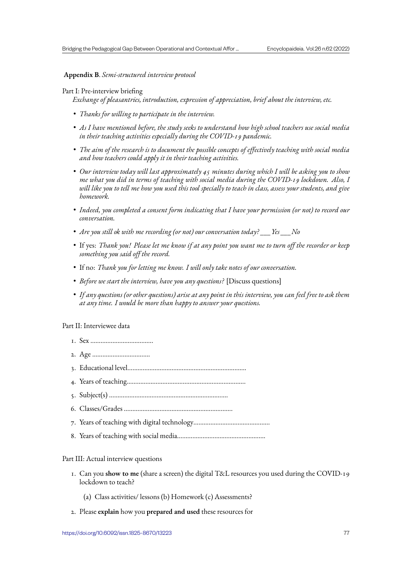## **Appendix B**. *Semi-structured interview protocol*

### Part I: Pre-interview briefing

*Exchange of pleasantries, introduction, expression of appreciation, brief about the interview, etc.*

- *Thanks for willing to participate in the interview.*
- *As I have mentioned before, the study seeks to understand how high school teachers use social media in their teaching activities especially during the COVID-19 pandemic.*
- *The aim of the research is to document the possible concepts of effectively teaching with social media and how teachers could apply it in their teaching activities.*
- *Our interview today will last approximately 45 minutes during which I will be asking you to show me what you did in terms of teaching with social media during the COVID-19 lockdown. Also, I will like you to tell me how you used this tool specially to teach in class, assess your students, and give homework.*
- *Indeed, you completed a consent form indicating that I have your permission (or not) to record our conversation.*
- *Are you still ok with me recording (or not) our conversation today? \_\_\_Yes \_\_\_No*
- If yes: *Thank you! Please let me know if at any point you want me to turn off the recorder or keep something you said off the record.*
- If no: *Thank you for letting me know. I will only take notes of our conversation.*
- *Before we start the interview, have you any questions?* [Discuss questions]
- *If any questions (or other questions) arise at any point in this interview, you can feel free to ask them at any time. I would be more than happy to answer your questions.*

#### Part II: Interviewee data

- 1. Sex ……………………………….
- 2. Age …………………………….
- 3. Educational level…………………………………………………………….
- 4. Years of teaching…………………………………………………………….
- 5. Subject(s) …………………………………………………………….
- 6. Classes/Grades ……………………………………………………….
- 7. Years of teaching with digital technology………………………………………
- 8. Years of teaching with social media…………………………………………….

#### Part III: Actual interview questions

- 1. Can you **show to me** (share a screen) the digital T&L resources you used during the COVID-19 lockdown to teach?
	- (a) Class activities/ lessons (b) Homework (c) Assessments?
- 2. Please **explain** how you **prepared and used** these resources for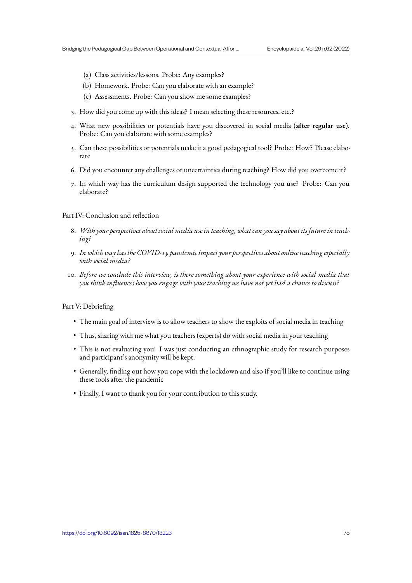- (a) Class activities/lessons. Probe: Any examples?
- (b) Homework. Probe: Can you elaborate with an example?
- (c) Assessments. Probe: Can you show me some examples?
- 3. How did you come up with this ideas? I mean selecting these resources, etc.?
- 4. What new possibilities or potentials have you discovered in social media (**after regular use**). Probe: Can you elaborate with some examples?
- 5. Can these possibilities or potentials make it a good pedagogical tool? Probe: How? Please elaborate
- 6. Did you encounter any challenges or uncertainties during teaching? How did you overcome it?
- 7. In which way has the curriculum design supported the technology you use? Probe: Can you elaborate?

Part IV: Conclusion and reflection

- 8. *With your perspectives about social media use in teaching, what can you say about its future in teaching?*
- 9. *In which way has the COVID-19 pandemic impact your perspectives about online teaching especially with social media?*
- 10. *Before we conclude this interview, is there something about your experience with social media that you think influences how you engage with your teaching we have not yet had a chance to discuss?*

### Part V: Debriefing

- The main goal of interview is to allow teachers to show the exploits of social media in teaching
- Thus, sharing with me what you teachers (experts) do with social media in your teaching
- This is not evaluating you! I was just conducting an ethnographic study for research purposes and participant's anonymity will be kept.
- Generally, finding out how you cope with the lockdown and also if you'll like to continue using these tools after the pandemic
- Finally, I want to thank you for your contribution to this study.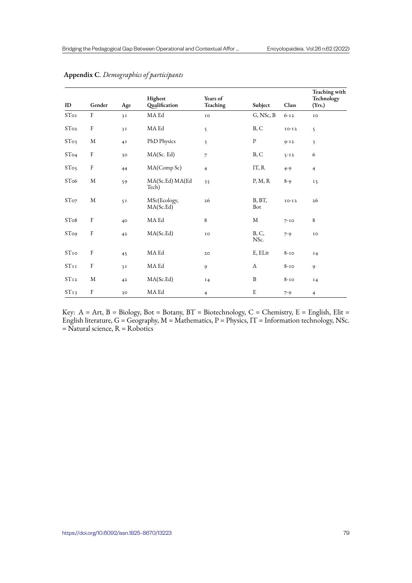| ID               | Gender                    | Age | Highest<br>Qualification  | Years of<br>Teaching    | Subject            | Class    | Teaching with<br>Technology<br>(Yrs.) |
|------------------|---------------------------|-----|---------------------------|-------------------------|--------------------|----------|---------------------------------------|
| STo <sub>I</sub> | $\boldsymbol{\mathrm{F}}$ | 3I  | MA Ed                     | IO                      | $G, \text{NSc}, B$ | $6 - 12$ | IO                                    |
| STo <sub>2</sub> | $\rm F$                   | 3I  | $\rm MA$ Ed               | 5                       | B, C               | $IO-I2$  | 5                                     |
| STo <sub>3</sub> | M                         | 4I  | PhD Physics               | $\overline{\mathbf{3}}$ | $\, {\bf p}$       | $9 - 12$ | $\overline{\mathbf{3}}$               |
| STo <sub>4</sub> | $\rm F$                   | 30  | MA(Sc. Ed)                | $\overline{7}$          | B, C               | $5 - 12$ | 6                                     |
| STo <sub>5</sub> | $\rm F$                   | 44  | MA(Comp Sc)               | $\overline{4}$          | IT, R              | $4 - 9$  | $\overline{4}$                        |
| ST <sub>o6</sub> | M                         | 59  | MA(Sc.Ed) MA(Ed)<br>Tech) | 35                      | P, M, R            | $8 - 9$  | 15                                    |
| STo <sub>7</sub> | $\mathbf M$               | 5I  | MSc(Ecology,<br>MA(Sc.Ed) | 26                      | B, BT,<br>Bot      | $IO-I2$  | 26                                    |
| STo8             | $\rm F$                   | 40  | MA Ed                     | $\,$ 8 $\,$             | $\mathbf M$        | $7 - 10$ | 8                                     |
| STo <sub>9</sub> | $\rm F$                   | 42  | MA(Sc.Ed)                 | IO                      | B, C,<br>NSc.      | $7 - 9$  | IO                                    |
| $ST_{IO}$        | $\rm F$                   | 45  | MA Ed                     | 20                      | E, ELit            | $8 - 10$ | 14                                    |
| STII             | $\rm F$                   | 3I  | MA Ed                     | 9                       | A                  | $8-10$   | 9                                     |
| ST <sub>12</sub> | M                         | 42  | MA(Sc.Ed)                 | 14                      | B                  | $8-10$   | 14                                    |
| ST <sub>13</sub> | $\rm F$                   | 30  | MA Ed                     | $\overline{4}$          | E                  | $7 - 9$  | $\overline{4}$                        |

## **Appendix C**. *Demographics of participants*

Key:  $A = Art$ ,  $B = Biology$ ,  $Bot = Botany$ ,  $BT = Biotechnology$ ,  $C = Chemistry$ ,  $E = English$ ,  $E$ lit = English literature,  $G = G$ eography,  $M =$ Mathematics,  $P =$ Physics, IT = Information technology, NSc. = Natural science, R = Robotics